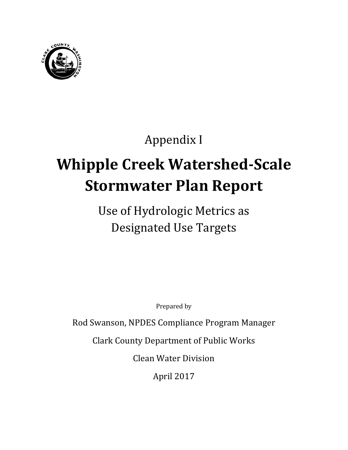

# Appendix I

# **Whipple Creek Watershed-Scale Stormwater Plan Report**

Use of Hydrologic Metrics as Designated Use Targets

Prepared by

Rod Swanson, NPDES Compliance Program Manager

Clark County Department of Public Works

Clean Water Division

April 2017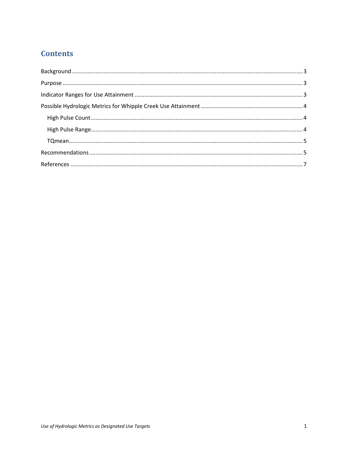# **Contents**

<span id="page-2-0"></span>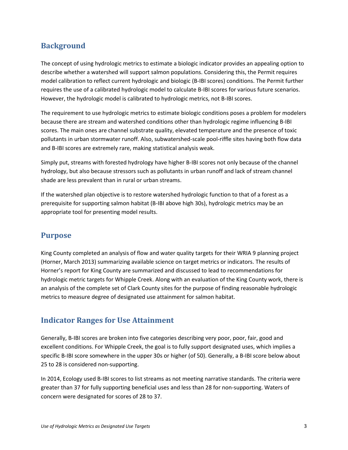# **Background**

The concept of using hydrologic metrics to estimate a biologic indicator provides an appealing option to describe whether a watershed will support salmon populations. Considering this, the Permit requires model calibration to reflect current hydrologic and biologic (B-IBI scores) conditions. The Permit further requires the use of a calibrated hydrologic model to calculate B-IBI scores for various future scenarios. However, the hydrologic model is calibrated to hydrologic metrics, not B-IBI scores.

The requirement to use hydrologic metrics to estimate biologic conditions poses a problem for modelers because there are stream and watershed conditions other than hydrologic regime influencing B-IBI scores. The main ones are channel substrate quality, elevated temperature and the presence of toxic pollutants in urban stormwater runoff. Also, subwatershed-scale pool-riffle sites having both flow data and B-IBI scores are extremely rare, making statistical analysis weak.

Simply put, streams with forested hydrology have higher B-IBI scores not only because of the channel hydrology, but also because stressors such as pollutants in urban runoff and lack of stream channel shade are less prevalent than in rural or urban streams.

If the watershed plan objective is to restore watershed hydrologic function to that of a forest as a prerequisite for supporting salmon habitat (B-IBI above high 30s), hydrologic metrics may be an appropriate tool for presenting model results.

### <span id="page-4-0"></span>**Purpose**

King County completed an analysis of flow and water quality targets for their WRIA 9 planning project (Horner, March 2013) summarizing available science on target metrics or indicators. The results of Horner's report for King County are summarized and discussed to lead to recommendations for hydrologic metric targets for Whipple Creek. Along with an evaluation of the King County work, there is an analysis of the complete set of Clark County sites for the purpose of finding reasonable hydrologic metrics to measure degree of designated use attainment for salmon habitat.

#### <span id="page-4-1"></span>**Indicator Ranges for Use Attainment**

Generally, B-IBI scores are broken into five categories describing very poor, poor, fair, good and excellent conditions. For Whipple Creek, the goal is to fully support designated uses, which implies a specific B-IBI score somewhere in the upper 30s or higher (of 50). Generally, a B-IBI score below about 25 to 28 is considered non-supporting.

In 2014, Ecology used B-IBI scores to list streams as not meeting narrative standards. The criteria were greater than 37 for fully supporting beneficial uses and less than 28 for non-supporting. Waters of concern were designated for scores of 28 to 37.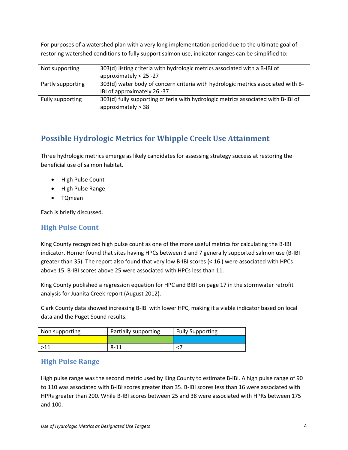For purposes of a watershed plan with a very long implementation period due to the ultimate goal of restoring watershed conditions to fully support salmon use, indicator ranges can be simplified to:

| Not supporting    | 303(d) listing criteria with hydrologic metrics associated with a B-IBI of        |  |  |
|-------------------|-----------------------------------------------------------------------------------|--|--|
|                   | approximately $<$ 25 -27                                                          |  |  |
| Partly supporting | 303(d) water body of concern criteria with hydrologic metrics associated with B-  |  |  |
|                   | IBI of approximately 26 -37                                                       |  |  |
| Fully supporting  | 303(d) fully supporting criteria with hydrologic metrics associated with B-IBI of |  |  |
|                   | approximately > 38                                                                |  |  |

# <span id="page-5-0"></span>**Possible Hydrologic Metrics for Whipple Creek Use Attainment**

Three hydrologic metrics emerge as likely candidates for assessing strategy success at restoring the beneficial use of salmon habitat.

- High Pulse Count
- High Pulse Range
- TQmean

Each is briefly discussed.

## <span id="page-5-1"></span>**High Pulse Count**

King County recognized high pulse count as one of the more useful metrics for calculating the B-IBI indicator. Horner found that sites having HPCs between 3 and 7 generally supported salmon use (B-IBI greater than 35). The report also found that very low B-IBI scores (< 16 ) were associated with HPCs above 15. B-IBI scores above 25 were associated with HPCs less than 11.

King County published a regression equation for HPC and BIBI on page 17 in the stormwater retrofit analysis for Juanita Creek report (August 2012).

Clark County data showed increasing B-IBI with lower HPC, making it a viable indicator based on local data and the Puget Sound results.

| Non supporting | Partially supporting | <b>Fully Supporting</b> |
|----------------|----------------------|-------------------------|
|                |                      |                         |
| >11            | 8-11                 |                         |

#### <span id="page-5-2"></span>**High Pulse Range**

High pulse range was the second metric used by King County to estimate B-IBI. A high pulse range of 90 to 110 was associated with B-IBI scores greater than 35. B-IBI scores less than 16 were associated with HPRs greater than 200. While B-IBI scores between 25 and 38 were associated with HPRs between 175 and 100.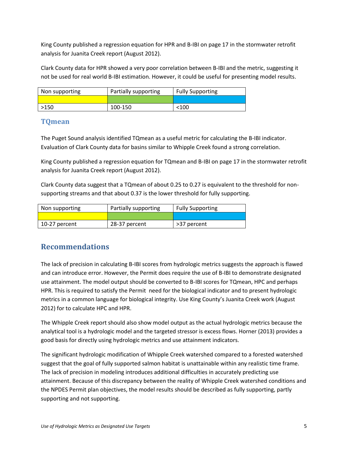King County published a regression equation for HPR and B-IBI on page 17 in the stormwater retrofit analysis for Juanita Creek report (August 2012).

Clark County data for HPR showed a very poor correlation between B-IBI and the metric, suggesting it not be used for real world B-IBI estimation. However, it could be useful for presenting model results.

| Non supporting | Partially supporting | <b>Fully Supporting</b> |
|----------------|----------------------|-------------------------|
|                |                      |                         |
| >150           | 100-150              | $<$ 100 $\,$            |

#### <span id="page-6-0"></span>**TQmean**

The Puget Sound analysis identified TQmean as a useful metric for calculating the B-IBI indicator. Evaluation of Clark County data for basins similar to Whipple Creek found a strong correlation.

King County published a regression equation for TQmean and B-IBI on page 17 in the stormwater retrofit analysis for Juanita Creek report (August 2012).

Clark County data suggest that a TQmean of about 0.25 to 0.27 is equivalent to the threshold for nonsupporting streams and that about 0.37 is the lower threshold for fully supporting.

| Non supporting | Partially supporting | <b>Fully Supporting</b> |
|----------------|----------------------|-------------------------|
|                |                      |                         |
| 10-27 percent  | 28-37 percent        | >37 percent             |

# <span id="page-6-1"></span>**Recommendations**

The lack of precision in calculating B-IBI scores from hydrologic metrics suggests the approach is flawed and can introduce error. However, the Permit does require the use of B-IBI to demonstrate designated use attainment. The model output should be converted to B-IBI scores for TQmean, HPC and perhaps HPR. This is required to satisfy the Permit need for the biological indicator and to present hydrologic metrics in a common language for biological integrity. Use King County's Juanita Creek work (August 2012) for to calculate HPC and HPR.

The Whipple Creek report should also show model output as the actual hydrologic metrics because the analytical tool is a hydrologic model and the targeted stressor is excess flows. Horner (2013) provides a good basis for directly using hydrologic metrics and use attainment indicators.

The significant hydrologic modification of Whipple Creek watershed compared to a forested watershed suggest that the goal of fully supported salmon habitat is unattainable within any realistic time frame. The lack of precision in modeling introduces additional difficulties in accurately predicting use attainment. Because of this discrepancy between the reality of Whipple Creek watershed conditions and the NPDES Permit plan objectives, the model results should be described as fully supporting, partly supporting and not supporting.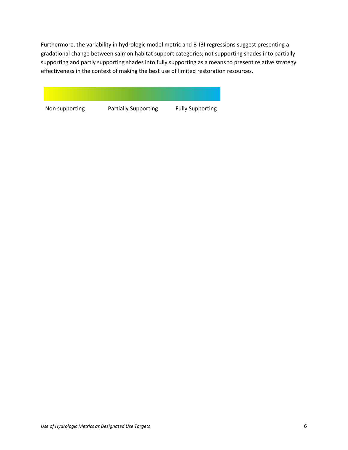Furthermore, the variability in hydrologic model metric and B-IBI regressions suggest presenting a gradational change between salmon habitat support categories; not supporting shades into partially supporting and partly supporting shades into fully supporting as a means to present relative strategy effectiveness in the context of making the best use of limited restoration resources.

<span id="page-7-0"></span>

Non supporting Partially Supporting Fully Supporting